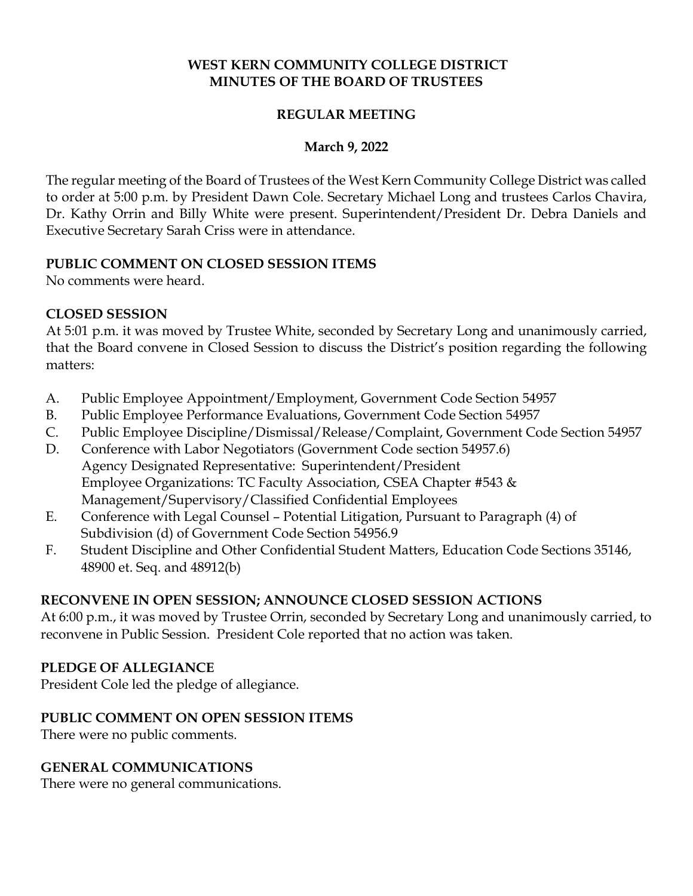### **WEST KERN COMMUNITY COLLEGE DISTRICT MINUTES OF THE BOARD OF TRUSTEES**

### **REGULAR MEETING**

#### **March 9, 2022**

The regular meeting of the Board of Trustees of the West Kern Community College District was called to order at 5:00 p.m. by President Dawn Cole. Secretary Michael Long and trustees Carlos Chavira, Dr. Kathy Orrin and Billy White were present. Superintendent/President Dr. Debra Daniels and Executive Secretary Sarah Criss were in attendance.

#### **PUBLIC COMMENT ON CLOSED SESSION ITEMS**

No comments were heard.

#### **CLOSED SESSION**

At 5:01 p.m. it was moved by Trustee White, seconded by Secretary Long and unanimously carried, that the Board convene in Closed Session to discuss the District's position regarding the following matters:

- A. Public Employee Appointment/Employment, Government Code Section 54957
- B. Public Employee Performance Evaluations, Government Code Section 54957
- C. Public Employee Discipline/Dismissal/Release/Complaint, Government Code Section 54957
- D. Conference with Labor Negotiators (Government Code section 54957.6) Agency Designated Representative: Superintendent/President Employee Organizations: TC Faculty Association, CSEA Chapter #543 & Management/Supervisory/Classified Confidential Employees
- E. Conference with Legal Counsel Potential Litigation, Pursuant to Paragraph (4) of Subdivision (d) of Government Code Section 54956.9
- F. Student Discipline and Other Confidential Student Matters, Education Code Sections 35146, 48900 et. Seq. and 48912(b)

### **RECONVENE IN OPEN SESSION; ANNOUNCE CLOSED SESSION ACTIONS**

At 6:00 p.m., it was moved by Trustee Orrin, seconded by Secretary Long and unanimously carried, to reconvene in Public Session. President Cole reported that no action was taken.

#### **PLEDGE OF ALLEGIANCE**

President Cole led the pledge of allegiance.

#### **PUBLIC COMMENT ON OPEN SESSION ITEMS**

There were no public comments.

### **GENERAL COMMUNICATIONS**

There were no general communications.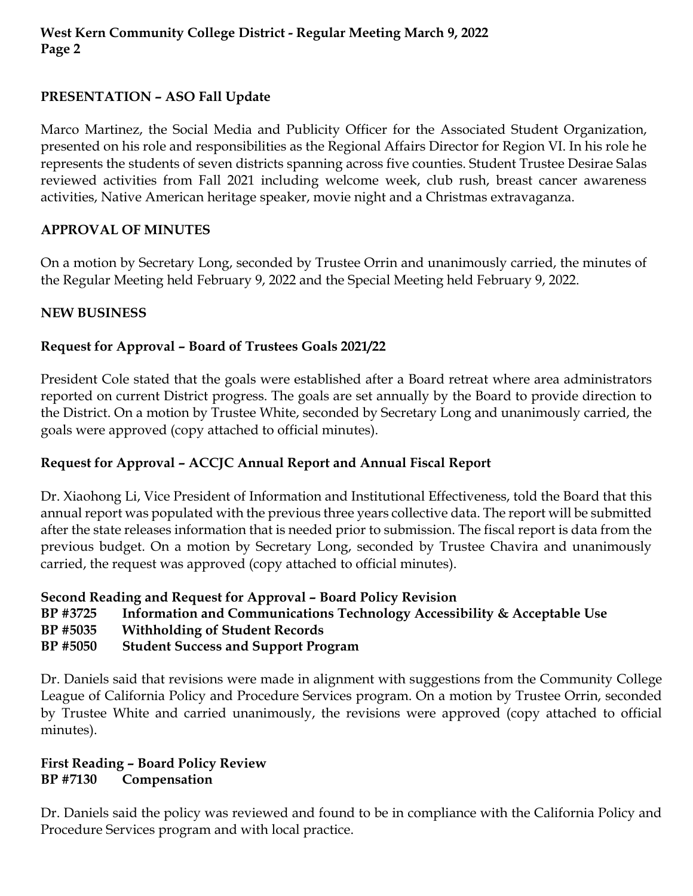# **PRESENTATION – ASO Fall Update**

Marco Martinez, the Social Media and Publicity Officer for the Associated Student Organization, presented on his role and responsibilities as the Regional Affairs Director for Region VI. In his role he represents the students of seven districts spanning across five counties. Student Trustee Desirae Salas reviewed activities from Fall 2021 including welcome week, club rush, breast cancer awareness activities, Native American heritage speaker, movie night and a Christmas extravaganza.

## **APPROVAL OF MINUTES**

On a motion by Secretary Long, seconded by Trustee Orrin and unanimously carried, the minutes of the Regular Meeting held February 9, 2022 and the Special Meeting held February 9, 2022.

## **NEW BUSINESS**

# **Request for Approval – Board of Trustees Goals 2021/22**

President Cole stated that the goals were established after a Board retreat where area administrators reported on current District progress. The goals are set annually by the Board to provide direction to the District. On a motion by Trustee White, seconded by Secretary Long and unanimously carried, the goals were approved (copy attached to official minutes).

# **Request for Approval – ACCJC Annual Report and Annual Fiscal Report**

Dr. Xiaohong Li, Vice President of Information and Institutional Effectiveness, told the Board that this annual report was populated with the previous three years collective data. The report will be submitted after the state releases information that is needed prior to submission. The fiscal report is data from the previous budget. On a motion by Secretary Long, seconded by Trustee Chavira and unanimously carried, the request was approved (copy attached to official minutes).

# **Second Reading and Request for Approval – Board Policy Revision**

- **BP #3725 Information and Communications Technology Accessibility & Acceptable Use**
- **BP #5035 Withholding of Student Records**
- **BP #5050 Student Success and Support Program**

Dr. Daniels said that revisions were made in alignment with suggestions from the Community College League of California Policy and Procedure Services program. On a motion by Trustee Orrin, seconded by Trustee White and carried unanimously, the revisions were approved (copy attached to official minutes).

#### **First Reading – Board Policy Review BP #7130 Compensation**

Dr. Daniels said the policy was reviewed and found to be in compliance with the California Policy and Procedure Services program and with local practice.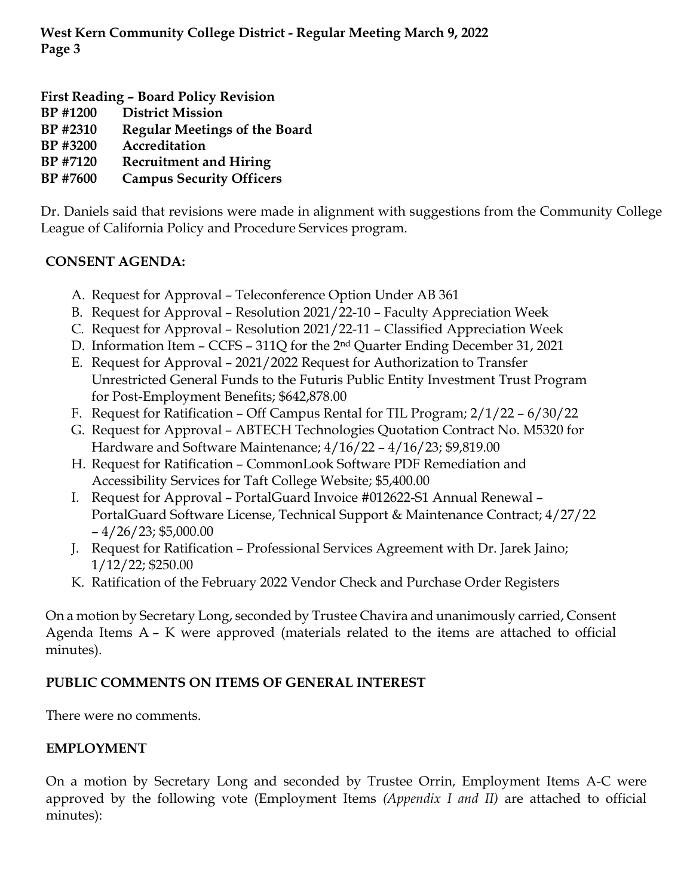**First Reading – Board Policy Revision** 

- **BP #1200 District Mission**
- **BP #2310 Regular Meetings of the Board**
- **BP #3200 Accreditation**
- **BP #7120 Recruitment and Hiring**
- **BP #7600 Campus Security Officers**

Dr. Daniels said that revisions were made in alignment with suggestions from the Community College League of California Policy and Procedure Services program.

# **CONSENT AGENDA:**

- A. Request for Approval Teleconference Option Under AB 361
- B. Request for Approval Resolution 2021/22-10 Faculty Appreciation Week
- C. Request for Approval Resolution 2021/22-11 Classified Appreciation Week
- D. Information Item CCFS 311Q for the 2nd Quarter Ending December 31, 2021
- E. Request for Approval 2021/2022 Request for Authorization to Transfer Unrestricted General Funds to the Futuris Public Entity Investment Trust Program for Post-Employment Benefits; \$642,878.00
- F. Request for Ratification Off Campus Rental for TIL Program; 2/1/22 6/30/22
- G. Request for Approval ABTECH Technologies Quotation Contract No. M5320 for Hardware and Software Maintenance; 4/16/22 – 4/16/23; \$9,819.00
- H. Request for Ratification CommonLook Software PDF Remediation and Accessibility Services for Taft College Website; \$5,400.00
- I. Request for Approval PortalGuard Invoice #012622-S1 Annual Renewal PortalGuard Software License, Technical Support & Maintenance Contract; 4/27/22  $-4/26/23;$  \$5,000.00
- J. Request for Ratification Professional Services Agreement with Dr. Jarek Jaino; 1/12/22; \$250.00
- K. Ratification of the February 2022 Vendor Check and Purchase Order Registers

On a motion by Secretary Long, seconded by Trustee Chavira and unanimously carried, Consent Agenda Items A – K were approved (materials related to the items are attached to official minutes).

# **PUBLIC COMMENTS ON ITEMS OF GENERAL INTEREST**

There were no comments.

### **EMPLOYMENT**

On a motion by Secretary Long and seconded by Trustee Orrin, Employment Items A-C were approved by the following vote (Employment Items *(Appendix I and II)* are attached to official minutes):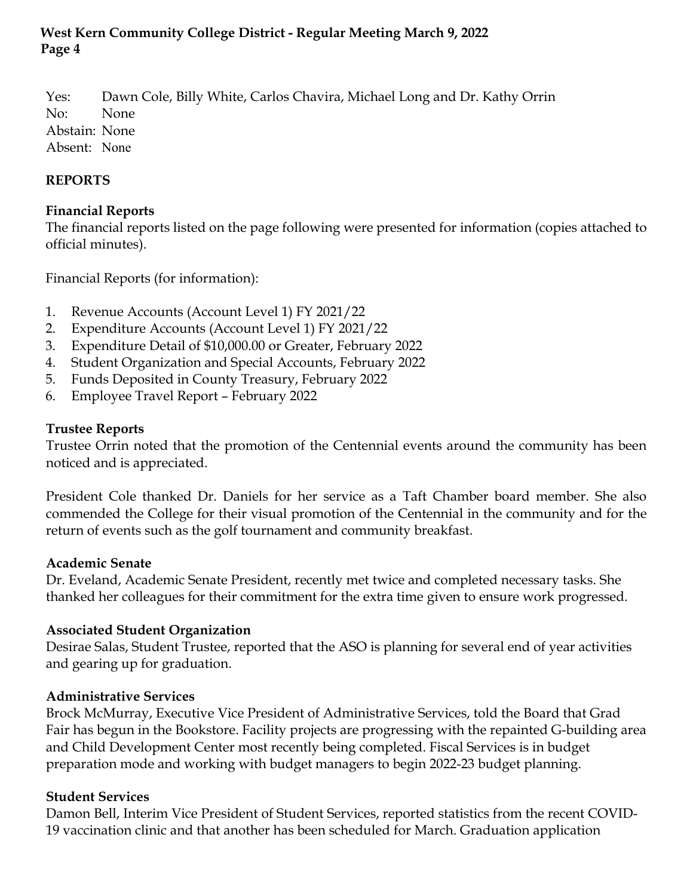Yes: Dawn Cole, Billy White, Carlos Chavira, Michael Long and Dr. Kathy Orrin No: None Abstain: None Absent: None

## **REPORTS**

### **Financial Reports**

The financial reports listed on the page following were presented for information (copies attached to official minutes).

Financial Reports (for information):

- 1. Revenue Accounts (Account Level 1) FY 2021/22
- 2. Expenditure Accounts (Account Level 1) FY 2021/22
- 3. Expenditure Detail of \$10,000.00 or Greater, February 2022
- 4. Student Organization and Special Accounts, February 2022
- 5. Funds Deposited in County Treasury, February 2022
- 6. Employee Travel Report February 2022

### **Trustee Reports**

Trustee Orrin noted that the promotion of the Centennial events around the community has been noticed and is appreciated.

President Cole thanked Dr. Daniels for her service as a Taft Chamber board member. She also commended the College for their visual promotion of the Centennial in the community and for the return of events such as the golf tournament and community breakfast.

### **Academic Senate**

Dr. Eveland, Academic Senate President, recently met twice and completed necessary tasks. She thanked her colleagues for their commitment for the extra time given to ensure work progressed.

### **Associated Student Organization**

Desirae Salas, Student Trustee, reported that the ASO is planning for several end of year activities and gearing up for graduation.

### **Administrative Services**

Brock McMurray, Executive Vice President of Administrative Services, told the Board that Grad Fair has begun in the Bookstore. Facility projects are progressing with the repainted G-building area and Child Development Center most recently being completed. Fiscal Services is in budget preparation mode and working with budget managers to begin 2022-23 budget planning.

### **Student Services**

Damon Bell, Interim Vice President of Student Services, reported statistics from the recent COVID-19 vaccination clinic and that another has been scheduled for March. Graduation application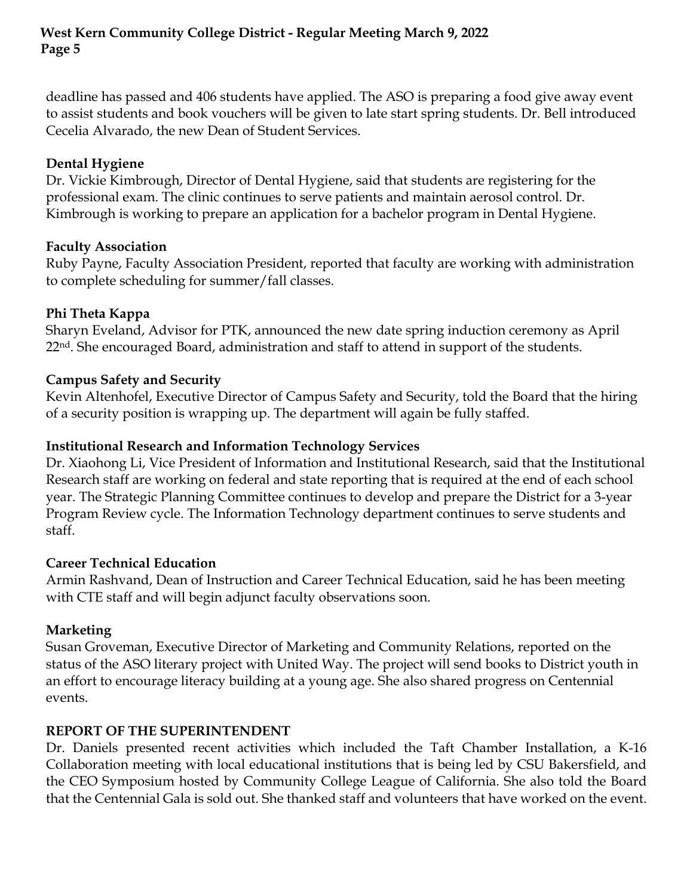deadline has passed and 406 students have applied. The ASO is preparing a food give away event to assist students and book vouchers will be given to late start spring students. Dr. Bell introduced Cecelia Alvarado, the new Dean of Student Services.

### **Dental Hygiene**

Dr. Vickie Kimbrough, Director of Dental Hygiene, said that students are registering for the professional exam. The clinic continues to serve patients and maintain aerosol control. Dr. Kimbrough is working to prepare an application for a bachelor program in Dental Hygiene.

## **Faculty Association**

Ruby Payne, Faculty Association President, reported that faculty are working with administration to complete scheduling for summer/fall classes.

## **Phi Theta Kappa**

Sharyn Eveland, Advisor for PTK, announced the new date spring induction ceremony as April 22<sup>nd</sup>. She encouraged Board, administration and staff to attend in support of the students.

# **Campus Safety and Security**

Kevin Altenhofel, Executive Director of Campus Safety and Security, told the Board that the hiring of a security position is wrapping up. The department will again be fully staffed.

## **Institutional Research and Information Technology Services**

Dr. Xiaohong Li, Vice President of Information and Institutional Research, said that the Institutional Research staff are working on federal and state reporting that is required at the end of each school year. The Strategic Planning Committee continues to develop and prepare the District for a 3-year Program Review cycle. The Information Technology department continues to serve students and staff.

# **Career Technical Education**

Armin Rashvand, Dean of Instruction and Career Technical Education, said he has been meeting with CTE staff and will begin adjunct faculty observations soon.

# **Marketing**

Susan Groveman, Executive Director of Marketing and Community Relations, reported on the status of the ASO literary project with United Way. The project will send books to District youth in an effort to encourage literacy building at a young age. She also shared progress on Centennial events.

# **REPORT OF THE SUPERINTENDENT**

Dr. Daniels presented recent activities which included the Taft Chamber Installation, a K-16 Collaboration meeting with local educational institutions that is being led by CSU Bakersfield, and the CEO Symposium hosted by Community College League of California. She also told the Board that the Centennial Gala is sold out. She thanked staff and volunteers that have worked on the event.